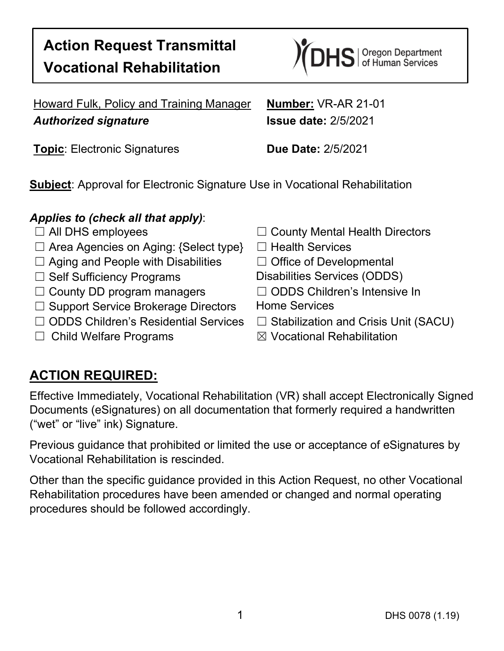# **Action Request Transmittal Vocational Rehabilitation**



Howard Fulk, Policy and Training Manager **Number:** VR-AR 21-01 *Authorized signature* **Issue date:** 2/5/2021

**Topic**: Electronic Signatures **Due Date:** 2/5/2021

**Subject**: Approval for Electronic Signature Use in Vocational Rehabilitation

#### *Applies to (check all that apply)*:

- 
- ☐ Area Agencies on Aging: {Select type} ☐ Health Services
- ☐ Aging and People with Disabilities ☐ Office of Developmental
- 
- ☐ County DD program managers ☐ ODDS Children's Intensive In
- □ Support Service Brokerage Directors Home Services
- ☐ ODDS Children's Residential Services ☐ Stabilization and Crisis Unit (SACU)
- 
- ☐ All DHS employees ☐ County Mental Health Directors
	-
	-
- □ Self Sufficiency Programs Disabilities Services (ODDS)
	-
	-
	-
- ☐ Child Welfare Programs ☒ Vocational Rehabilitation

## **ACTION REQUIRED:**

Effective Immediately, Vocational Rehabilitation (VR) shall accept Electronically Signed Documents (eSignatures) on all documentation that formerly required a handwritten ("wet" or "live" ink) Signature.

Previous guidance that prohibited or limited the use or acceptance of eSignatures by Vocational Rehabilitation is rescinded.

Other than the specific guidance provided in this Action Request, no other Vocational Rehabilitation procedures have been amended or changed and normal operating procedures should be followed accordingly.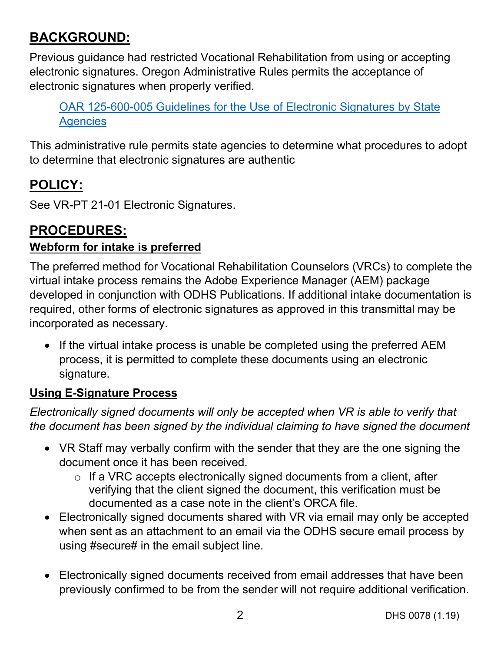## **BACKGROUND:**

Previous guidance had restricted Vocational Rehabilitation from using or accepting electronic signatures. Oregon Administrative Rules permits the acceptance of electronic signatures when properly verified.

[OAR 125-600-005 Guidelines for the Use of Electronic Signatures by State](https://secure.sos.state.or.us/oard/displayDivisionRules.action?selectedDivision=276)  **[Agencies](https://secure.sos.state.or.us/oard/displayDivisionRules.action?selectedDivision=276)** 

This administrative rule permits state agencies to determine what procedures to adopt to determine that electronic signatures are authentic

## **POLICY:**

See VR-PT 21-01 Electronic Signatures.

#### **PROCEDURES:**

#### **Webform for intake is preferred**

The preferred method for Vocational Rehabilitation Counselors (VRCs) to complete the virtual intake process remains the Adobe Experience Manager (AEM) package developed in conjunction with ODHS Publications. If additional intake documentation is required, other forms of electronic signatures as approved in this transmittal may be incorporated as necessary.

• If the virtual intake process is unable be completed using the preferred AEM process, it is permitted to complete these documents using an electronic signature.

#### **Using E-Signature Process**

*Electronically signed documents will only be accepted when VR is able to verify that the document has been signed by the individual claiming to have signed the document*

- VR Staff may verbally confirm with the sender that they are the one signing the document once it has been received.
	- o If a VRC accepts electronically signed documents from a client, after verifying that the client signed the document, this verification must be documented as a case note in the client's ORCA file.
- Electronically signed documents shared with VR via email may only be accepted when sent as an attachment to an email via the ODHS secure email process by using #secure# in the email subject line.
- Electronically signed documents received from email addresses that have been previously confirmed to be from the sender will not require additional verification.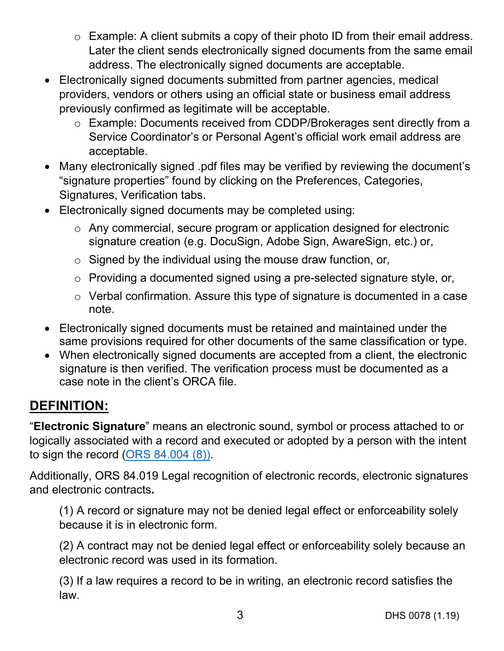- o Example: A client submits a copy of their photo ID from their email address. Later the client sends electronically signed documents from the same email address. The electronically signed documents are acceptable.
- Electronically signed documents submitted from partner agencies, medical providers, vendors or others using an official state or business email address previously confirmed as legitimate will be acceptable.
	- o Example: Documents received from CDDP/Brokerages sent directly from a Service Coordinator's or Personal Agent's official work email address are acceptable.
- Many electronically signed .pdf files may be verified by reviewing the document's "signature properties" found by clicking on the Preferences, Categories, Signatures, Verification tabs.
- Electronically signed documents may be completed using:
	- o Any commercial, secure program or application designed for electronic signature creation (e.g. DocuSign, Adobe Sign, AwareSign, etc.) or,
	- $\circ$  Signed by the individual using the mouse draw function, or,
	- o Providing a documented signed using a pre-selected signature style, or,
	- o Verbal confirmation. Assure this type of signature is documented in a case note.
- Electronically signed documents must be retained and maintained under the same provisions required for other documents of the same classification or type.
- When electronically signed documents are accepted from a client, the electronic signature is then verified. The verification process must be documented as a case note in the client's ORCA file.

## **DEFINITION:**

"**Electronic Signature**" means an electronic sound, symbol or process attached to or logically associated with a record and executed or adopted by a person with the intent to sign the record [\(ORS 84.004](https://www.oregonlaws.org/ors/84.004) (8)).

Additionally, ORS 84.019 Legal recognition of electronic records, electronic signatures and electronic contracts**.**

(1) A record or signature may not be denied legal effect or enforceability solely because it is in electronic form.

(2) A contract may not be denied legal effect or enforceability solely because an electronic record was used in its formation.

(3) If a law requires a record to be in writing, an electronic record satisfies the law.